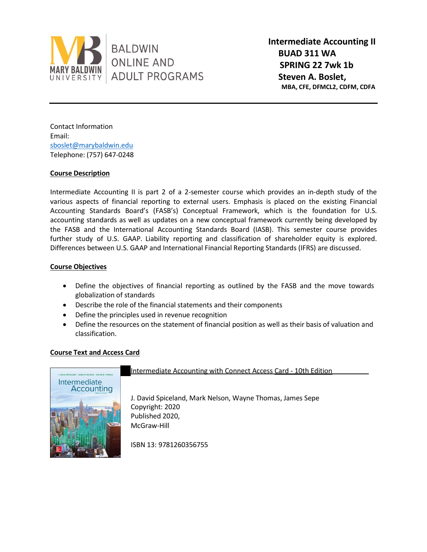

**Intermediate Accounting II BUAD 311 WA SPRING 22 7wk 1b Steven A. Boslet, MBA, CFE, DFMCL2, CDFM, CDFA** 

Contact Information Email: [sboslet@marybaldwin.edu](mailto:sboslet@marybaldwin.edu) Telephone: (757) 647-0248

# **Course Description**

Intermediate Accounting II is part 2 of a 2-semester course which provides an in-depth study of the various aspects of financial reporting to external users. Emphasis is placed on the existing Financial Accounting Standards Board's (FASB's) Conceptual Framework, which is the foundation for U.S. accounting standards as well as updates on a new conceptual framework currently being developed by the FASB and the International Accounting Standards Board (IASB). This semester course provides further study of U.S. GAAP. Liability reporting and classification of shareholder equity is explored. Differences between U.S. GAAP and International Financial Reporting Standards (IFRS) are discussed.

# **Course Objectives**

- Define the objectives of financial reporting as outlined by the FASB and the move towards globalization of standards
- Describe the role of the financial statements and their components
- Define the principles used in revenue recognition
- Define the resources on the statement of financial position as well as their basis of valuation and classification.

# **Course Text and Access Card**



Intermediate Accounting with Connect Access Card - 10th Edition

J. David Spiceland, Mark Nelson, Wayne Thomas, James Sepe Copyright: 2020 Published 2020, McGraw-Hill

ISBN 13: 9781260356755